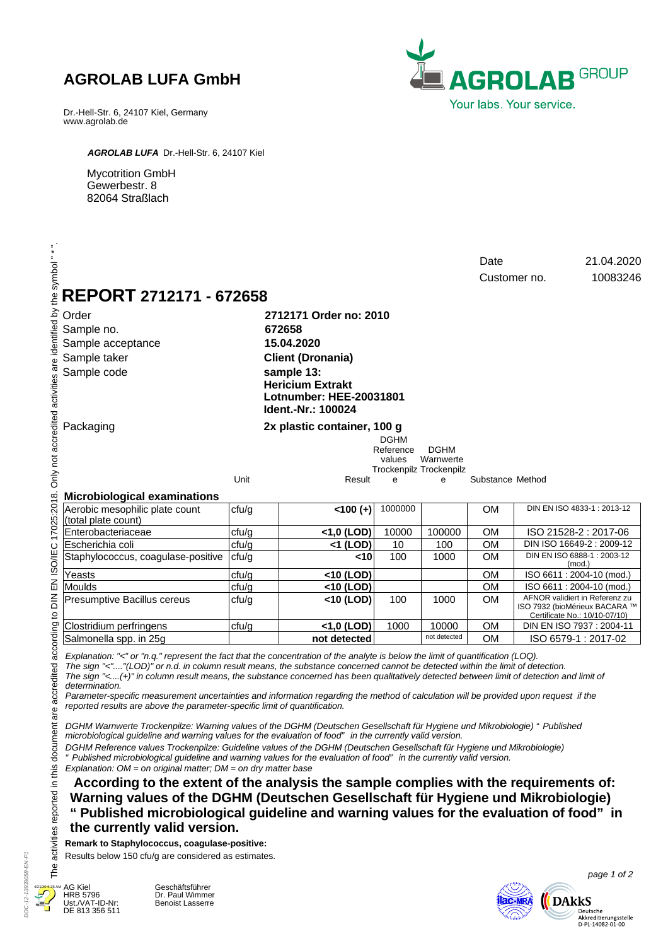# **AGROLAB LUFA GmbH**

Dr.-Hell-Str. 6, 24107 Kiel, Germany www.agrolab.de



*AGROLAB LUFA* Dr.-Hell-Str. 6, 24107 Kiel

Mycotrition GmbH Gewerbestr. 8 82064 Straßlach

| REPORT 2712171 - 672658                                                                                                                                                                                                                                                                                                                                                                                                                                                                                                                                                                                                                                                                                                                                                                                                                                                                                                                                                                                                   |       |                                                                                                                                                                             |                                    |                                                     |                  | Customer no. | 21.04.2020<br>10083246                                                                           |
|---------------------------------------------------------------------------------------------------------------------------------------------------------------------------------------------------------------------------------------------------------------------------------------------------------------------------------------------------------------------------------------------------------------------------------------------------------------------------------------------------------------------------------------------------------------------------------------------------------------------------------------------------------------------------------------------------------------------------------------------------------------------------------------------------------------------------------------------------------------------------------------------------------------------------------------------------------------------------------------------------------------------------|-------|-----------------------------------------------------------------------------------------------------------------------------------------------------------------------------|------------------------------------|-----------------------------------------------------|------------------|--------------|--------------------------------------------------------------------------------------------------|
| Order<br>Sample no.<br>Sample acceptance<br>Sample taker<br>Sample code                                                                                                                                                                                                                                                                                                                                                                                                                                                                                                                                                                                                                                                                                                                                                                                                                                                                                                                                                   |       | 2712171 Order no: 2010<br>672658<br>15.04.2020<br><b>Client (Dronania)</b><br>sample 13:<br><b>Hericium Extrakt</b><br><b>Lotnumber: HEE-20031801</b><br>Ident.-Nr.: 100024 |                                    |                                                     |                  |              |                                                                                                  |
| Packaging                                                                                                                                                                                                                                                                                                                                                                                                                                                                                                                                                                                                                                                                                                                                                                                                                                                                                                                                                                                                                 |       | 2x plastic container, 100 g                                                                                                                                                 | <b>DGHM</b><br>Reference<br>values | <b>DGHM</b><br>Warnwerte<br>Trockenpilz Trockenpilz |                  |              |                                                                                                  |
| <b>Microbiological examinations</b>                                                                                                                                                                                                                                                                                                                                                                                                                                                                                                                                                                                                                                                                                                                                                                                                                                                                                                                                                                                       | Unit  | Result                                                                                                                                                                      | e                                  | e                                                   | Substance Method |              |                                                                                                  |
| Aerobic mesophilic plate count<br>(total plate count)                                                                                                                                                                                                                                                                                                                                                                                                                                                                                                                                                                                                                                                                                                                                                                                                                                                                                                                                                                     | ctu/g | $< 100 (+)$                                                                                                                                                                 | 1000000                            |                                                     | <b>OM</b>        |              | DIN EN ISO 4833-1: 2013-12                                                                       |
| Enterobacteriaceae                                                                                                                                                                                                                                                                                                                                                                                                                                                                                                                                                                                                                                                                                                                                                                                                                                                                                                                                                                                                        | cfu/g | <1,0 (LOD)                                                                                                                                                                  | 10000                              | 100000                                              | <b>OM</b>        |              | ISO 21528-2: 2017-06                                                                             |
| Escherichia coli                                                                                                                                                                                                                                                                                                                                                                                                                                                                                                                                                                                                                                                                                                                                                                                                                                                                                                                                                                                                          | ctu/g | $<$ 1 (LOD)                                                                                                                                                                 | 10                                 | 100                                                 | <b>OM</b>        |              | DIN ISO 16649-2: 2009-12                                                                         |
| Staphylococcus, coagulase-positive                                                                                                                                                                                                                                                                                                                                                                                                                                                                                                                                                                                                                                                                                                                                                                                                                                                                                                                                                                                        | ctu/g | <10                                                                                                                                                                         | 100                                | 1000                                                | <b>OM</b>        |              | DIN EN ISO 6888-1: 2003-12<br>(mod.)                                                             |
| Yeasts                                                                                                                                                                                                                                                                                                                                                                                                                                                                                                                                                                                                                                                                                                                                                                                                                                                                                                                                                                                                                    | ctu/g | <10 (LOD)                                                                                                                                                                   |                                    |                                                     | <b>OM</b>        |              | ISO 6611: 2004-10 (mod.)                                                                         |
| <b>Moulds</b>                                                                                                                                                                                                                                                                                                                                                                                                                                                                                                                                                                                                                                                                                                                                                                                                                                                                                                                                                                                                             | ctu/g | $<$ 10 (LOD)                                                                                                                                                                |                                    |                                                     | <b>OM</b>        |              | ISO 6611: 2004-10 (mod.)                                                                         |
| Presumptive Bacillus cereus                                                                                                                                                                                                                                                                                                                                                                                                                                                                                                                                                                                                                                                                                                                                                                                                                                                                                                                                                                                               | ctu/g | <10 (LOD)                                                                                                                                                                   | 100                                | 1000                                                | <b>OM</b>        |              | AFNOR validiert in Referenz zu<br>ISO 7932 (bioMérieux BACARA ™<br>Certificate No.: 10/10-07/10) |
| Clostridium perfringens                                                                                                                                                                                                                                                                                                                                                                                                                                                                                                                                                                                                                                                                                                                                                                                                                                                                                                                                                                                                   | ctu/g | <1,0 (LOD)                                                                                                                                                                  | 1000                               | 10000                                               | <b>OM</b>        |              | DIN EN ISO 7937: 2004-11                                                                         |
| Salmonella spp. in 25g                                                                                                                                                                                                                                                                                                                                                                                                                                                                                                                                                                                                                                                                                                                                                                                                                                                                                                                                                                                                    |       | not detected                                                                                                                                                                |                                    | not detected                                        | <b>OM</b>        |              | ISO 6579-1: 2017-02                                                                              |
| Explanation: "<" or "n.q." represent the fact that the concentration of the analyte is below the limit of quantification (LOQ).<br>The sign "<""(LOD)" or n.d. in column result means, the substance concerned cannot be detected within the limit of detection.<br>The sign "<(+)" in column result means, the substance concerned has been qualitatively detected between limit of detection and limit of<br>determination.<br>Parameter-specific measurement uncertainties and information regarding the method of calculation will be provided upon request if the<br>reported results are above the parameter-specific limit of quantification.<br>DGHM Warnwerte Trockenpilze: Warning values of the DGHM (Deutschen Gesellschaft für Hygiene und Mikrobiologie) " Published<br>microbiological guideline and warning values for the evaluation of food" in the currently valid version.<br>DGHM Reference values Trockenpilze: Guideline values of the DGHM (Deutschen Gesellschaft für Hygiene und Mikrobiologie) |       |                                                                                                                                                                             |                                    |                                                     |                  |              |                                                                                                  |

*Explanation: OM = on original matter; DM = on dry matter base "Published microbiological guideline and warning values for the evaluation of food" in the currently valid version.*

 **According to the extent of the analysis the sample complies with the requirements of: Warning values of the DGHM (Deutschen Gesellschaft für Hygiene und Mikrobiologie) "Published microbiological guideline and warning values for the evaluation of food" in the currently valid version.**

### **Remark to Staphylococcus, coagulase-positive:**

Results below 150 cfu/g are considered as estimates.



HRB 5796 Ust./VAT-ID-Nr:

Geschäftsführer Dr. Paul Wimmer Benoist Lasserre